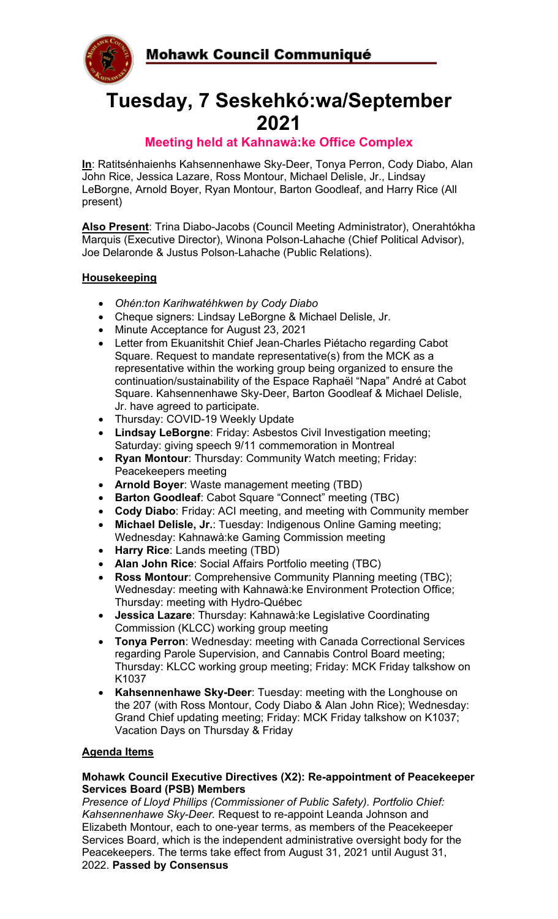Mohawk Council Communiqué



# **Tuesday, 7 Seskehkó:wa/September 2021**

### **Meeting held at Kahnawà:ke Office Complex**

**In**: Ratitsénhaienhs Kahsennenhawe Sky-Deer, Tonya Perron, Cody Diabo, Alan John Rice, Jessica Lazare, Ross Montour, Michael Delisle, Jr., Lindsay LeBorgne, Arnold Boyer, Ryan Montour, Barton Goodleaf, and Harry Rice (All present)

**Also Present**: Trina Diabo-Jacobs (Council Meeting Administrator), Onerahtókha Marquis (Executive Director), Winona Polson-Lahache (Chief Political Advisor), Joe Delaronde & Justus Polson-Lahache (Public Relations).

### **Housekeeping**

- *Ohén:ton Karihwatéhkwen by Cody Diabo*
- Cheque signers: Lindsay LeBorgne & Michael Delisle, Jr.
- Minute Acceptance for August 23, 2021
- Letter from Ekuanitshit Chief Jean-Charles Piétacho regarding Cabot Square. Request to mandate representative(s) from the MCK as a representative within the working group being organized to ensure the continuation/sustainability of the Espace Raphaël "Napa" André at Cabot Square. Kahsennenhawe Sky-Deer, Barton Goodleaf & Michael Delisle, Jr. have agreed to participate.
- Thursday: COVID-19 Weekly Update
- **Lindsay LeBorgne**: Friday: Asbestos Civil Investigation meeting; Saturday: giving speech 9/11 commemoration in Montreal
- **Ryan Montour**: Thursday: Community Watch meeting; Friday: Peacekeepers meeting
- **Arnold Boyer**: Waste management meeting (TBD)
- **Barton Goodleaf**: Cabot Square "Connect" meeting (TBC)
- **Cody Diabo**: Friday: ACI meeting, and meeting with Community member
- **Michael Delisle, Jr.**: Tuesday: Indigenous Online Gaming meeting; Wednesday: Kahnawà:ke Gaming Commission meeting
- **Harry Rice**: Lands meeting (TBD)
- **Alan John Rice**: Social Affairs Portfolio meeting (TBC)
- **Ross Montour**: Comprehensive Community Planning meeting (TBC); Wednesday: meeting with Kahnawà:ke Environment Protection Office; Thursday: meeting with Hydro-Québec
- **Jessica Lazare**: Thursday: Kahnawà:ke Legislative Coordinating Commission (KLCC) working group meeting
- **Tonya Perron**: Wednesday: meeting with Canada Correctional Services regarding Parole Supervision, and Cannabis Control Board meeting; Thursday: KLCC working group meeting; Friday: MCK Friday talkshow on K1037
- **Kahsennenhawe Sky-Deer**: Tuesday: meeting with the Longhouse on the 207 (with Ross Montour, Cody Diabo & Alan John Rice); Wednesday: Grand Chief updating meeting; Friday: MCK Friday talkshow on K1037; Vacation Days on Thursday & Friday

### **Agenda Items**

#### **Mohawk Council Executive Directives (X2): Re-appointment of Peacekeeper Services Board (PSB) Members**

*Presence of Lloyd Phillips (Commissioner of Public Safety). Portfolio Chief: Kahsennenhawe Sky-Deer.* Request to re-appoint Leanda Johnson and Elizabeth Montour, each to one-year terms, as members of the Peacekeeper Services Board, which is the independent administrative oversight body for the Peacekeepers. The terms take effect from August 31, 2021 until August 31, 2022. **Passed by Consensus**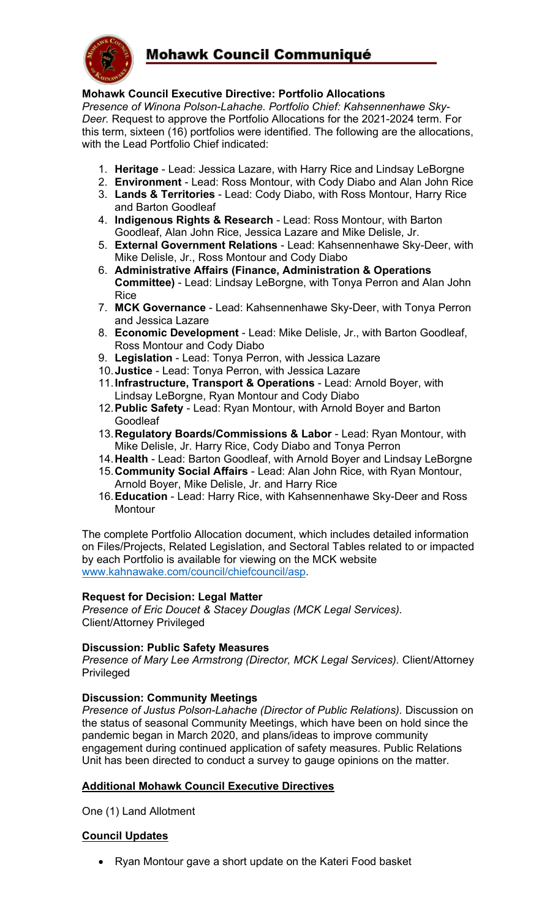

## Mohawk Council Communiqué

#### **Mohawk Council Executive Directive: Portfolio Allocations**

*Presence of Winona Polson-Lahache. Portfolio Chief: Kahsennenhawe Sky-Deer.* Request to approve the Portfolio Allocations for the 2021-2024 term. For this term, sixteen (16) portfolios were identified. The following are the allocations, with the Lead Portfolio Chief indicated:

- 1. **Heritage** Lead: Jessica Lazare, with Harry Rice and Lindsay LeBorgne
- 2. **Environment** Lead: Ross Montour, with Cody Diabo and Alan John Rice
- 3. **Lands & Territories** Lead: Cody Diabo, with Ross Montour, Harry Rice and Barton Goodleaf
- 4. **Indigenous Rights & Research** Lead: Ross Montour, with Barton Goodleaf, Alan John Rice, Jessica Lazare and Mike Delisle, Jr.
- 5. **External Government Relations** Lead: Kahsennenhawe Sky-Deer, with Mike Delisle, Jr., Ross Montour and Cody Diabo
- 6. **Administrative Affairs (Finance, Administration & Operations Committee)** - Lead: Lindsay LeBorgne, with Tonya Perron and Alan John Rice
- 7. **MCK Governance** Lead: Kahsennenhawe Sky-Deer, with Tonya Perron and Jessica Lazare
- 8. **Economic Development** Lead: Mike Delisle, Jr., with Barton Goodleaf, Ross Montour and Cody Diabo
- 9. **Legislation** Lead: Tonya Perron, with Jessica Lazare
- 10.**Justice**  Lead: Tonya Perron, with Jessica Lazare
- 11.**Infrastructure, Transport & Operations** Lead: Arnold Boyer, with Lindsay LeBorgne, Ryan Montour and Cody Diabo
- 12.**Public Safety**  Lead: Ryan Montour, with Arnold Boyer and Barton **Goodleaf**
- 13.**Regulatory Boards/Commissions & Labor**  Lead: Ryan Montour, with Mike Delisle, Jr. Harry Rice, Cody Diabo and Tonya Perron
- 14.**Health**  Lead: Barton Goodleaf, with Arnold Boyer and Lindsay LeBorgne
- 15.**Community Social Affairs** Lead: Alan John Rice, with Ryan Montour, Arnold Boyer, Mike Delisle, Jr. and Harry Rice
- 16.**Education**  Lead: Harry Rice, with Kahsennenhawe Sky-Deer and Ross **Montour**

The complete Portfolio Allocation document, which includes detailed information on Files/Projects, Related Legislation, and Sectoral Tables related to or impacted by each Portfolio is available for viewing on the MCK website [www.kahnawake.com/council/chiefcouncil/asp.](http://www.kahnawake.com/council/chiefcouncil/asp)

#### **Request for Decision: Legal Matter**

*Presence of Eric Doucet & Stacey Douglas (MCK Legal Services).*  Client/Attorney Privileged

#### **Discussion: Public Safety Measures**

*Presence of Mary Lee Armstrong (Director, MCK Legal Services).* Client/Attorney **Privileged** 

#### **Discussion: Community Meetings**

*Presence of Justus Polson-Lahache (Director of Public Relations).* Discussion on the status of seasonal Community Meetings, which have been on hold since the pandemic began in March 2020, and plans/ideas to improve community engagement during continued application of safety measures. Public Relations Unit has been directed to conduct a survey to gauge opinions on the matter.

#### **Additional Mohawk Council Executive Directives**

One (1) Land Allotment

#### **Council Updates**

• Ryan Montour gave a short update on the Kateri Food basket